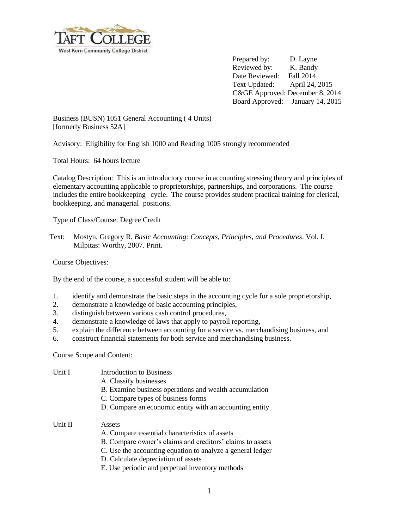

Prepared by: D. Layne Reviewed by: K. Bandy Date Reviewed: Fall 2014 Text Updated: April 24, 2015 C&GE Approved: December 8, 2014 Board Approved: January 14, 2015

Business (BUSN) 1051 General Accounting ( 4 Units) [formerly Business 52A]

Advisory: Eligibility for English 1000 and Reading 1005 strongly recommended

Total Hours: 64 hours lecture

Catalog Description: This is an introductory course in accounting stressing theory and principles of elementary accounting applicable to proprietorships, partnerships, and corporations. The course includes the entire bookkeeping cycle. The course provides student practical training for clerical, bookkeeping, and managerial positions.

Type of Class/Course: Degree Credit

Text: Mostyn, Gregory R. *Basic Accounting: Concepts, Principles, and Procedures*. Vol. I. Milpitas: Worthy, 2007. Print.

Course Objectives:

By the end of the course, a successful student will be able to:

- 1. identify and demonstrate the basic steps in the accounting cycle for a sole proprietorship,
- 2. demonstrate a knowledge of basic accounting principles,
- 3. distinguish between various cash control procedures,
- 4. demonstrate a knowledge of laws that apply to payroll reporting,
- 5. explain the difference between accounting for a service vs. merchandising business, and
- 6. construct financial statements for both service and merchandising business.

Course Scope and Content:

| Unit I  | Introduction to Business                                   |  |
|---------|------------------------------------------------------------|--|
|         | A. Classify businesses                                     |  |
|         | B. Examine business operations and wealth accumulation     |  |
|         | C. Compare types of business forms                         |  |
|         | D. Compare an economic entity with an accounting entity    |  |
| Unit II | Assets                                                     |  |
|         | A. Compare essential characteristics of assets             |  |
|         | B. Compare owner's claims and creditors' claims to assets  |  |
|         | C. Use the accounting equation to analyze a general ledger |  |
|         | D. Calculate depreciation of assets                        |  |
|         | E. Use periodic and perpetual inventory methods            |  |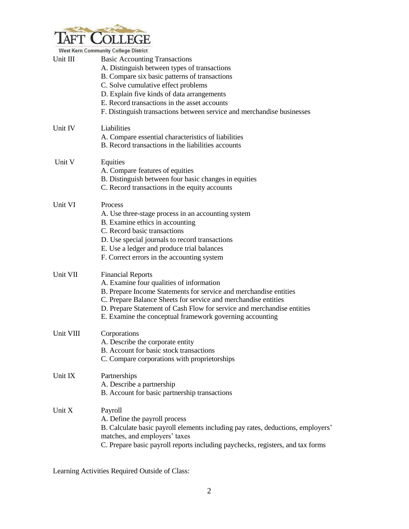

|           | <b>West Kern Community College District</b>                                     |
|-----------|---------------------------------------------------------------------------------|
| Unit III  | <b>Basic Accounting Transactions</b>                                            |
|           | A. Distinguish between types of transactions                                    |
|           | B. Compare six basic patterns of transactions                                   |
|           | C. Solve cumulative effect problems                                             |
|           | D. Explain five kinds of data arrangements                                      |
|           | E. Record transactions in the asset accounts                                    |
|           | F. Distinguish transactions between service and merchandise businesses          |
| Unit IV   | Liabilities                                                                     |
|           | A. Compare essential characteristics of liabilities                             |
|           | B. Record transactions in the liabilities accounts                              |
| Unit V    | Equities                                                                        |
|           | A. Compare features of equities                                                 |
|           | B. Distinguish between four basic changes in equities                           |
|           | C. Record transactions in the equity accounts                                   |
| Unit VI   | <b>Process</b>                                                                  |
|           | A. Use three-stage process in an accounting system                              |
|           | B. Examine ethics in accounting                                                 |
|           | C. Record basic transactions                                                    |
|           | D. Use special journals to record transactions                                  |
|           | E. Use a ledger and produce trial balances                                      |
|           | F. Correct errors in the accounting system                                      |
| Unit VII  | <b>Financial Reports</b>                                                        |
|           | A. Examine four qualities of information                                        |
|           | B. Prepare Income Statements for service and merchandise entities               |
|           | C. Prepare Balance Sheets for service and merchandise entities                  |
|           | D. Prepare Statement of Cash Flow for service and merchandise entities          |
|           | E. Examine the conceptual framework governing accounting                        |
| Unit VIII | Corporations                                                                    |
|           | A. Describe the corporate entity                                                |
|           | B. Account for basic stock transactions                                         |
|           | C. Compare corporations with proprietorships                                    |
| Unit IX   | Partnerships                                                                    |
|           | A. Describe a partnership                                                       |
|           | B. Account for basic partnership transactions                                   |
| Unit X    | Payroll                                                                         |
|           | A. Define the payroll process                                                   |
|           | B. Calculate basic payroll elements including pay rates, deductions, employers' |
|           | matches, and employers' taxes                                                   |
|           | C. Prepare basic payroll reports including paychecks, registers, and tax forms  |
|           |                                                                                 |

Learning Activities Required Outside of Class: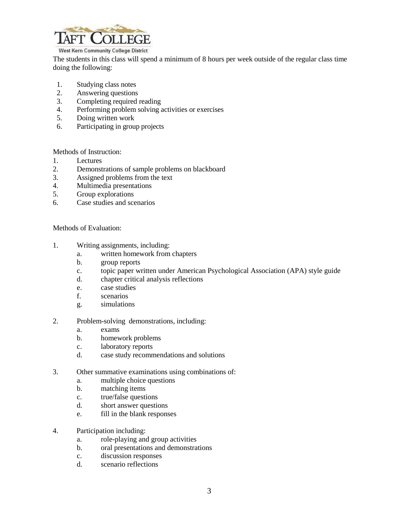

## West Kern Community College District

The students in this class will spend a minimum of 8 hours per week outside of the regular class time doing the following:

- 1. Studying class notes
- 2. Answering questions
- 3. Completing required reading
- 4. Performing problem solving activities or exercises
- 5. Doing written work
- 6. Participating in group projects

Methods of Instruction:

- 1. Lectures
- 2. Demonstrations of sample problems on blackboard
- 3. Assigned problems from the text
- 4. Multimedia presentations
- 5. Group explorations
- 6. Case studies and scenarios

Methods of Evaluation:

- 1. Writing assignments, including:
	- a. written homework from chapters
	- b. group reports
	- c. topic paper written under American Psychological Association (APA) style guide
	- d. chapter critical analysis reflections
	- e. case studies
	- f. scenarios
	- g. simulations
- 2. Problem-solving demonstrations, including:
	- a. exams
	- b. homework problems
	- c. laboratory reports
	- d. case study recommendations and solutions
- 3. Other summative examinations using combinations of:
	- a. multiple choice questions
	- b. matching items
	- c. true/false questions
	- d. short answer questions
	- e. fill in the blank responses
- 4. Participation including:
	- a. role-playing and group activities
	- b. oral presentations and demonstrations
	- c. discussion responses
	- d. scenario reflections